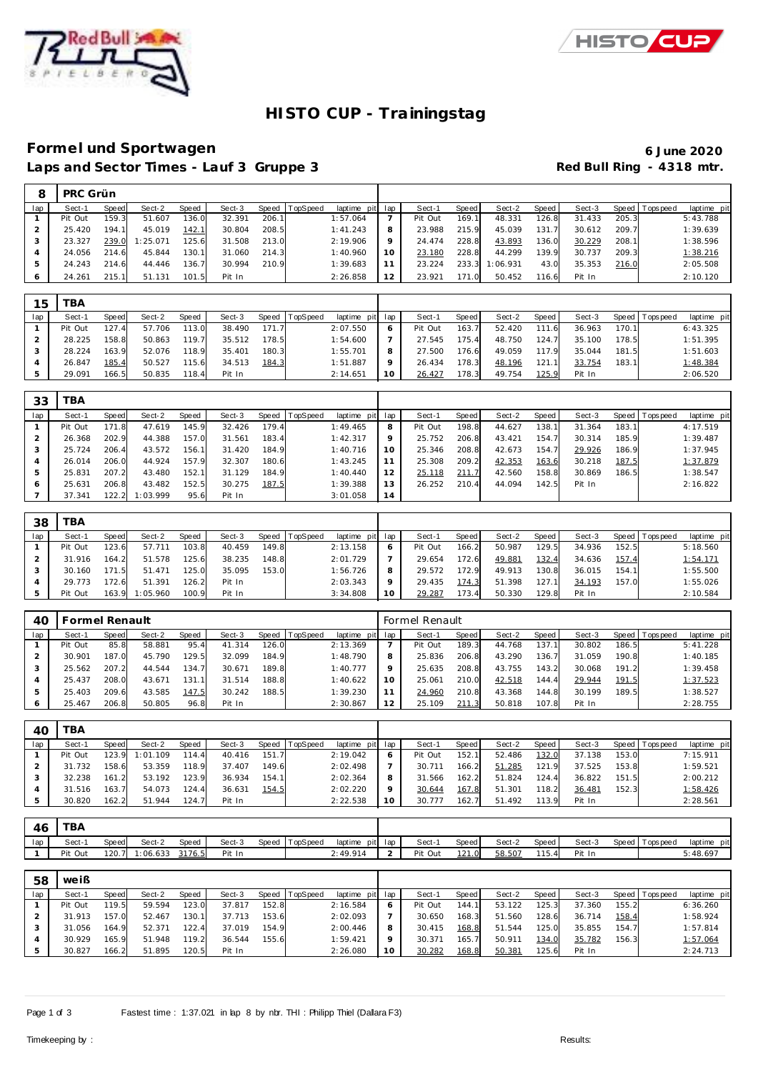

 $\mathbf{\tau}$ 



# **HISTO CUP - Trainingstag**

### **Forme l und Sportwagen 6 June 2020** Laps and Sector Times - Lauf 3 Gruppe 3 **Red Bull Ring - 4318 mtr.**

|     | <b>PRC Grün</b> |       |          |       |        |       |          |             |     |         |       |          |       |        |         |            |             |
|-----|-----------------|-------|----------|-------|--------|-------|----------|-------------|-----|---------|-------|----------|-------|--------|---------|------------|-------------|
| lap | Sect-1          | Speed | Sect-2   | Speed | Sect-3 | Speed | TopSpeed | laptime pit | lap | Sect-1  | Speed | Sect-2   | Speed | Sect-3 | Speed I | T ops peed | laptime pit |
|     | Pit Out         | 159.3 | 51.607   | 136.0 | 32.391 | 206.1 |          | 1:57.064    |     | Pit Out | 169.1 | 48.331   | 126.8 | 31.433 | 205.3   |            | 5:43.788    |
|     | 25.420          | 194.1 | 45.019   | 142.1 | 30.804 | 208.5 |          | 1:41.243    | 8   | 23.988  | 215.9 | 45.039   | 131.  | 30.612 | 209.7   |            | 1:39.639    |
|     | 23.327          | 239.0 | 1:25.071 | 125.6 | 31.508 | 213.0 |          | 2:19.906    | 9   | 24.474  | 228.8 | 43.893   | 136.0 | 30.229 | 208.1   |            | 1:38.596    |
|     | 24.056          | 214.6 | 45.844   | 130.1 | 31.060 | 214.3 |          | 1:40.960    | 10  | 23.180  | 228.8 | 44.299   | 139.9 | 30.737 | 209.3   |            | 1:38.216    |
|     | 24.243          | 214.6 | 44.446   | 136.7 | 30.994 | 210.9 |          | 1:39.683    |     | 23.224  | 233.3 | 1:06.931 | 43.0  | 35.353 | 216.0   |            | 2:05.508    |
|     | 24.261          | 215.1 | 51.131   | 101.5 | Pit In |       |          | 2:26.858    | 12  | 23.921  | 171.0 | 50.452   | 116.6 | Pit In |         |            | 2:10.120    |

| 15  | TBA     |              |        |              |        |       |          |                 |   |         |       |        |          |        |           |           |             |
|-----|---------|--------------|--------|--------------|--------|-------|----------|-----------------|---|---------|-------|--------|----------|--------|-----------|-----------|-------------|
| lap | Sect-1  | <b>Speed</b> | Sect-2 | <b>Speed</b> | Sect-3 | Speed | TopSpeed | laptime pit lap |   | Sect-1  | Speed | Sect-2 | Speed    | Sect-3 | Speed   T | Tops peed | laptime pit |
|     | Pit Out | 127.4        | 57.706 | 113.0        | 38.490 | 171.7 |          | 2:07.550        |   | Pit Out | 163.7 | 52.420 | 111<br>6 | 36.963 | 170.1     |           | 6:43.325    |
|     | 28.225  | 158.8        | 50.863 | 119.7        | 35.512 | 178.5 |          | 1:54.600        |   | 27.545  | 175.4 | 48.750 | 124.7    | 35.100 | 178.5     |           | 1:51.395    |
|     | 28.224  | 163.9        | 52.076 | 118.9        | 35.401 | 180.3 |          | 1:55.701        | 8 | 27.500  | 176.6 | 49.059 | 117 9    | 35.044 | 181.5     |           | 1:51.603    |
|     | 26.847  | 185.4        | 50.527 | 115.6        | 34.513 | 184.3 |          | 1:51.887        |   | 26.434  | 178.3 | 48.196 | 121.     | 33.754 | 183.1     |           | 1:48.384    |
|     | 29.091  | 166.5        | 50.835 | 118.4        | Pit In |       |          | 2:14.651        |   | 26.427  | 178.3 | 49.754 | 125.9    | Pit In |           |           | 2:06.520    |

| 33  | TBA     |       |          |       |        |       |          |             |     |         |       |        |       |        |       |            |             |
|-----|---------|-------|----------|-------|--------|-------|----------|-------------|-----|---------|-------|--------|-------|--------|-------|------------|-------------|
| lap | Sect-1  | Speed | Sect-2   | Speed | Sect-3 | Speed | TopSpeed | laptime pit | lap | Sect-1  | Speed | Sect-2 | Speed | Sect-3 | Speed | Tops pee d | laptime pit |
|     | Pit Out | 171.8 | 47.619   | 145.9 | 32.426 | 179.4 |          | 1:49.465    | 8   | Pit Out | 198.8 | 44.627 | 138.1 | 31.364 | 183.1 |            | 4:17.519    |
|     | 26.368  | 202.9 | 44.388   | 157.0 | 31.561 | 183.4 |          | 1:42.317    | 9   | 25.752  | 206.8 | 43.421 | 154.7 | 30.314 | 185.9 |            | 1:39.487    |
|     | 25.724  | 206.4 | 43.572   | 156.1 | 31.420 | 184.9 |          | 1:40.716    | 10  | 25.346  | 208.8 | 42.673 | 154.7 | 29.926 | 186.9 |            | 1:37.945    |
|     | 26.014  | 206.0 | 44.924   | 157.9 | 32.307 | 180.6 |          | 1:43.245    | 11  | 25.308  | 209.2 | 42.353 | 163.6 | 30.218 | 187.5 |            | 1:37.879    |
|     | 25.831  | 207.2 | 43.480   | 152.1 | 31.129 | 184.9 |          | 1:40.440    | 12  | 25.118  | 211.7 | 42.560 | 158.8 | 30.869 | 186.5 |            | 1:38.547    |
|     | 25.631  | 206.8 | 43.482   | 152.5 | 30.275 | 187.5 |          | 1:39.388    | 13  | 26.252  | 210.4 | 44.094 | 142.5 | Pit In |       |            | 2:16.822    |
|     | 37.341  | 122.2 | 1:03.999 | 95.6  | Pit In |       |          | 3:01.058    | 14  |         |       |        |       |        |       |            |             |

| 38  | TBA     |       |          |       |        |       |                  |             |     |         |       |        |       |        |       |                |             |
|-----|---------|-------|----------|-------|--------|-------|------------------|-------------|-----|---------|-------|--------|-------|--------|-------|----------------|-------------|
| lap | Sect-1  | Speed | Sect-2   | Speed | Sect-3 |       | Speed   TopSpeed | laptime pit | lap | Sect-1  | Speed | Sect-2 | Speed | Sect-3 |       | Speed Topspeed | laptime pit |
|     | Pit Out | 123.6 | 57.711   | 103.8 | 40.459 | 149.8 |                  | 2:13.158    | O   | Pit Out | 166.2 | 50.987 | 129.5 | 34.936 | 152.5 |                | 5:18.560    |
|     | 31.916  | 164.2 | 51.578   | 125.6 | 38.235 | 148.8 |                  | 2:01.729    |     | 29.654  | 172.6 | 49.881 | 132.4 | 34.636 | 157.4 |                | 1:54.171    |
|     | 30.160  | 1715  | 51.471   | 125.0 | 35.095 | 153.0 |                  | 1:56.726    | 8   | 29.572  | 172.9 | 49.913 | 130.8 | 36.015 | 154.1 |                | 1:55.500    |
|     | 29.773  | 172.6 | 51.391   | 126.2 | Pit In |       |                  | 2:03.343    | Q   | 29.435  | 174.3 | 51.398 | 127.1 | 34.193 | 157.0 |                | 1:55.026    |
|     | Pit Out | 163.9 | 1:05.960 | 100.9 | Pit In |       |                  | 3:34.808    | 10  | 29.287  | 173.4 | 50.330 | 129.8 | Pit In |       |                | 2:10.584    |

| 40  | <b>Formel Renault</b> |       |        |       |        |       |                |                 |         | <b>Formel Renault</b> |       |        |       |        |       |                   |             |
|-----|-----------------------|-------|--------|-------|--------|-------|----------------|-----------------|---------|-----------------------|-------|--------|-------|--------|-------|-------------------|-------------|
| lap | Sect-1                | Speed | Sect-2 | Speed | Sect-3 |       | Speed TopSpeed | laptime pit lap |         | Sect-1                | Speed | Sect-2 | Speed | Sect-3 |       | Speed   Tops peed | laptime pit |
|     | Pit Out               | 85.8  | 58.881 | 95.4  | 41.314 | 126.0 |                | 2:13.369        |         | Pit Out               | 189.3 | 44.768 | 137.1 | 30.802 | 186.5 |                   | 5:41.228    |
|     | 30.901                | 187.0 | 45.790 | 129.5 | 32.099 | 184.9 |                | 1:48.790        | 8       | 25.836                | 206.8 | 43.290 | 136.7 | 31.059 | 190.8 |                   | 1:40.185    |
|     | 25.562                | 207.2 | 44.544 | 134.7 | 30.671 | 189.8 |                | 1:40.777        | $\circ$ | 25.635                | 208.8 | 43.755 | 143.2 | 30.068 | 191.2 |                   | 1:39.458    |
|     | 25.437                | 208.0 | 43.671 | 131.1 | 31.514 | 188.8 |                | 1:40.622        | 10      | 25.061                | 210.0 | 42.518 | 144.4 | 29.944 | 191.5 |                   | 1:37.523    |
|     | 25.403                | 209.6 | 43.585 | 147.5 | 30.242 | 188.5 |                | 1:39.230        |         | 24.960                | 210.8 | 43.368 | 144.8 | 30.199 | 189.5 |                   | 1:38.527    |
| O   | 25.467                | 206.8 | 50.805 | 96.8  | Pit In |       |                | 2:30.867        | 12      | 25.109                | 211.3 | 50.818 | 107.8 | Pit In |       |                   | 2:28.755    |

| 40  | TBA     |       |          |       |        |       |          |             |     |         |       |        |       |        |       |                 |             |
|-----|---------|-------|----------|-------|--------|-------|----------|-------------|-----|---------|-------|--------|-------|--------|-------|-----------------|-------------|
| lap | Sect-1  | Speed | Sect-2   | Speed | Sect-3 | Speed | TopSpeed | laptime pit | lap | Sect-1  | Speed | Sect-2 | Speed | Sect-3 |       | Speed Tops peed | laptime pit |
|     | Pit Out | 123.9 | 1:01.109 | 114.4 | 40.416 | 151.7 |          | 2:19.042    | 6   | Pit Out | 152.1 | 52.486 | 132.0 | 37.138 | 153.0 |                 | 7:15.911    |
|     | 31.732  | 158.6 | 53.359   | 118.9 | 37.407 | 149.6 |          | 2:02.498    |     | 30.711  | 166.2 | 51.285 | 121.9 | 37.525 | 153.8 |                 | 1:59.521    |
|     | 32.238  | 161.2 | 53.192   | 123.9 | 36.934 | 154.1 |          | 2:02.364    | 8   | 31.566  | 162.2 | 51.824 | 124.4 | 36.822 | 151.5 |                 | 2:00.212    |
|     | 31.516  | 163.7 | 54.073   | 124.4 | 36.631 | 154.5 |          | 2:02.220    | Q   | 30.644  | 167.8 | 51.301 | 118.2 | 36.481 | 152.3 |                 | 1:58.426    |
|     | 30.820  | 162.2 | 51.944   | 124.7 | Pit In |       |          | 2:22.538    | 10  | 30.777  | 162.7 | 51.492 | 113.9 | Pit In |       |                 | 2:28.561    |

| 4C  | <b>TBA</b> |              |         |              |        |            |                 |                 |     |         |       |        |                 |        |         |           |                 |
|-----|------------|--------------|---------|--------------|--------|------------|-----------------|-----------------|-----|---------|-------|--------|-----------------|--------|---------|-----------|-----------------|
| lap | Sect-1     | <b>Speed</b> | Sect-2  | <b>Speed</b> | Sect-3 | Speed   To | <b>TopSpeed</b> | laptime<br>pitl | lap | Sect-1  | Speed | Sect-2 | Speed           | Sect-3 | Speed T | 「ops peed | laptime<br>pitl |
|     | Pit<br>Out | 120.7        | :06.633 | 3176.5       | Pit In |            |                 | 2:49.914        |     | Pit Out | 121.0 | 58.507 | 115<br>$-4.0.1$ | Pit In |         |           | 3:48.697        |

| 58  | weiß    |       |        |       |        |       |                |                 |    |         |       |        |       |        |       |                |             |
|-----|---------|-------|--------|-------|--------|-------|----------------|-----------------|----|---------|-------|--------|-------|--------|-------|----------------|-------------|
| lap | Sect-1  | Speed | Sect-2 | Speed | Sect-3 |       | Speed TopSpeed | laptime pit lap |    | Sect-1  | Speed | Sect-2 | Speed | Sect-3 |       | Speed Topspeed | laptime pit |
|     | Pit Out | 119.5 | 59.594 | 123.0 | 37.817 | 152.8 |                | 2:16.584        |    | Pit Out | 144.  | 53.122 | 125.3 | 37.360 | 155.2 |                | 6:36.260    |
|     | 31.913  | 157.0 | 52.467 | 130.1 | 37.713 | 153.6 |                | 2:02.093        |    | 30.650  | 168.3 | 51.560 | 128.6 | 36.714 | 158.4 |                | 1:58.924    |
|     | 31.056  | 164.9 | 52.371 | 122.4 | 37.019 | 154.9 |                | 2:00.446        |    | 30.415  | 168.8 | 51.544 | 125.0 | 35.855 | 154.7 |                | 1:57.814    |
|     | 30.929  | 165.9 | 51.948 | 119.2 | 36.544 | 155.6 |                | 1:59.421        |    | 30.371  | 165.7 | 50.911 | 134.0 | 35.782 | 156.3 |                | 1:57.064    |
|     | 30.827  | 166.2 | 51.895 | 120.5 | Pit In |       |                | 2:26.080        | 10 | 30.282  | 168.8 | 50.381 | 125.6 | Pit In |       |                | 2:24.713    |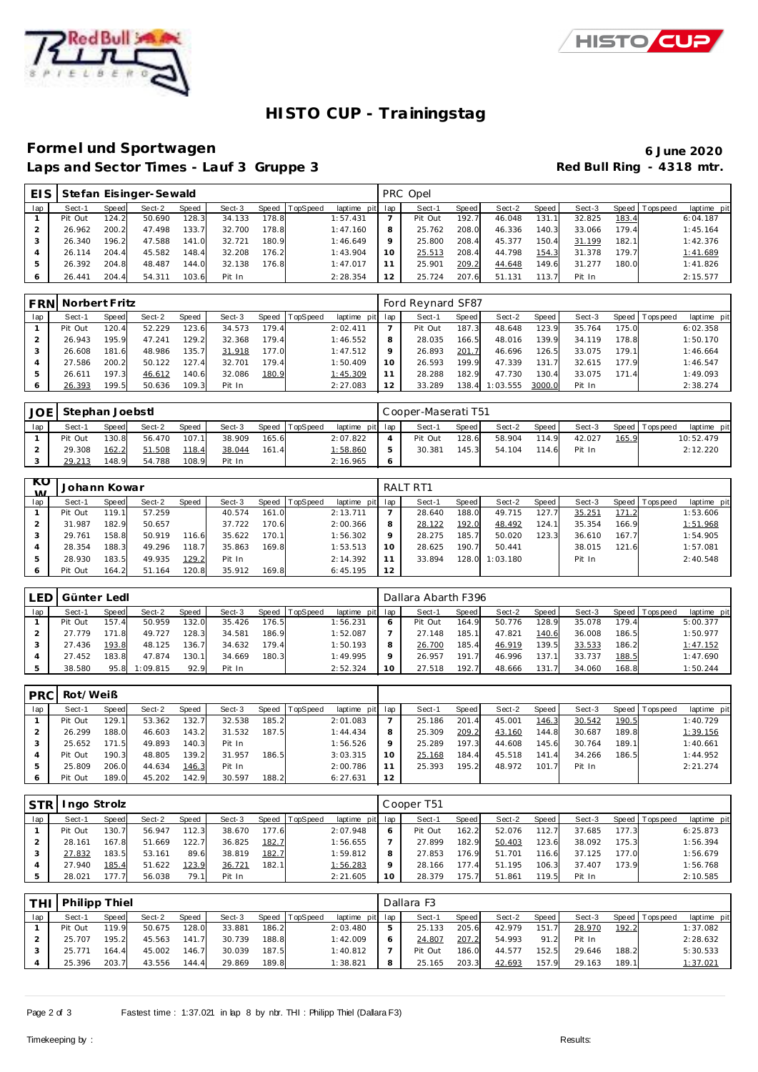



# **HISTO CUP - Trainingstag**

### **Forme l und Sportwagen 6 June 2020** Laps and Sector Times - Lauf 3 Gruppe 3 **Red Bull Ring - 4318 mtr.**

| EIS I |         |       | Stefan Eisinger-Sewald |       |        |       |                |             |         | PRC Opel |       |        |       |        |       |                   |             |
|-------|---------|-------|------------------------|-------|--------|-------|----------------|-------------|---------|----------|-------|--------|-------|--------|-------|-------------------|-------------|
| lap   | Sect-1  | Speed | Sect-2                 | Speed | Sect-3 |       | Speed TopSpeed | laptime pit | lap     | Sect-1   | Speed | Sect-2 | Speed | Sect-3 |       | Speed   Tops peed | laptime pit |
|       | Pit Out | 124.2 | 50.690                 | 128.3 | 34.133 | 178.8 |                | 1:57.431    |         | Pit Out  | 192.7 | 46.048 | 131.5 | 32.825 | 183.4 |                   | 6:04.187    |
|       | 26.962  | 200.2 | 47.498                 | 133.7 | 32.700 | 78.8  |                | 1:47.160    | 8       | 25.762   | 208.C | 46.336 | 140.3 | 33.066 | 179.4 |                   | 1:45.164    |
|       | 26.340  | 196.2 | 47.588                 | 141.0 | 32.721 | 180.9 |                | 1:46.649    | $\circ$ | 25.800   | 208.4 | 45.377 | 150.4 | 31.199 | 182.1 |                   | 1:42.376    |
|       | 26.114  | 204.4 | 45.582                 | 148.4 | 32.208 | 176.2 |                | 1:43.904    | 10      | 25.513   | 208.4 | 44.798 | 154.3 | 31.378 | 179.7 |                   | 1:41.689    |
|       | 26.392  | 204.8 | 48.487                 | 144.0 | 32.138 | 176.8 |                | 1:47.017    |         | 25.901   | 209.2 | 44.648 | 149.6 | 31.277 | 180.0 |                   | 1:41.826    |
|       | 26.441  | 204.4 | 54.311                 | 103.6 | Pit In |       |                | 2:28.354    | 12      | 25.724   | 207.6 | 51.131 | 113.7 | Pit In |       |                   | 2:15.577    |

| <b>FRN</b> | Norbert Fritz |       |        |       |        |       |                 |             |         | Ford Reynard SF87 |       |          |        |        |       |                |             |
|------------|---------------|-------|--------|-------|--------|-------|-----------------|-------------|---------|-------------------|-------|----------|--------|--------|-------|----------------|-------------|
| lap        | Sect-1        | Speed | Sect-2 | Speed | Sect-3 | Speed | <b>TopSpeed</b> | laptime pit | lap     | Sect-1            | Speed | Sect-2   | Speed  | Sect-3 |       | Speed Topspeed | laptime pit |
|            | Pit Out       | 120.4 | 52.229 | 123.6 | 34.573 | 179.4 |                 | 2:02.411    |         | Pit Out           | 187.3 | 48.648   | 123.9  | 35.764 | 175.0 |                | 6:02.358    |
|            | 26.943        | 195.9 | 47.241 | 129.2 | 32.368 | 179.4 |                 | 1:46.552    | 8       | 28.035            | 166.5 | 48.016   | 139.9  | 34.119 | 178.8 |                | 1:50.170    |
|            | 26.608        | 181.6 | 48.986 | 135.7 | 31.918 | 177.0 |                 | 1:47.512    | $\circ$ | 26.893            | 201.7 | 46.696   | 126.5  | 33.075 | 179.1 |                | 1:46.664    |
|            | 27.586        | 200.2 | 50.122 | 127.4 | 32.701 | 179.4 |                 | 1:50.409    | 10      | 26.593            | 199.9 | 47.339   | 131.7  | 32.615 | 177.9 |                | 1:46.547    |
|            | 26.611        | 197.3 | 46.612 | 140.6 | 32.086 | 180.9 |                 | 1:45.309    |         | 28.288            | 182.9 | 47.730   | 130.4  | 33.075 | 171.4 |                | 1:49.093    |
|            | 26.393        | 199.5 | 50.636 | 109.3 | Pit In |       |                 | 2:27.083    | 12      | 33.289            | 138.4 | 1:03.555 | 3000.0 | Pit In |       |                | 2:38.274    |

| <b>JOE</b> | Stephan Joebstl |              |        |              |        |       |          |                 | Cooper-Maserati T51 |         |        |       |        |       |                   |             |
|------------|-----------------|--------------|--------|--------------|--------|-------|----------|-----------------|---------------------|---------|--------|-------|--------|-------|-------------------|-------------|
| lap        | Sect-1          | <b>Speed</b> | Sect-2 | <b>Speed</b> | Sect-3 | Speed | TopSpeed | laptime pit lap | Sect-1              | Speed I | Sect-2 | Speed | Sect-3 |       | Speed   Tops peed | laptime pit |
|            | Pit Out         | 130.8        | 56.470 | 107.1        | 38.909 | 165.6 |          | 2:07.822        | Pit Out             | 128.6   | 58.904 | 114.9 | 42.027 | 165.9 |                   | 10:52.479   |
|            | 29.308          | 162.2        | 51.508 | 118.4        | 38.044 | 161.4 |          | 1:58.860        | 30.381              | 145.3   | 54.104 | 114.6 | Pit In |       |                   | 2:12.220    |
|            | 29.213          | 148.9        | 54.788 | 108.9        | Pit In |       |          | 2:16.965        |                     |         |        |       |        |       |                   |             |

| KO.<br>$\lambda$ | Johann Kowar |       |        |       |        |       |                  |             |     | RALT RT1 |       |          |       |        |       |                |             |
|------------------|--------------|-------|--------|-------|--------|-------|------------------|-------------|-----|----------|-------|----------|-------|--------|-------|----------------|-------------|
| lap              | Sect-1       | Speed | Sect-2 | Speed | Sect-3 |       | Speed   TopSpeed | laptime pit | lap | Sect-1   | Speed | Sect-2   | Speed | Sect-3 |       | Speed Topspeed | laptime pit |
|                  | Pit Out      | 119.1 | 57.259 |       | 40.574 | 161.0 |                  | 2:13.711    |     | 28.640   | 188.0 | 49.715   | 127.7 | 35.251 | 171.2 |                | 1:53.606    |
|                  | 31.987       | 182.9 | 50.657 |       | 37.722 | 170.6 |                  | 2:00.366    | 8   | 28.122   | 192.0 | 48.492   | 124.1 | 35.354 | 166.9 |                | 1:51.968    |
|                  | 29.761       | 158.8 | 50.919 | 116.6 | 35.622 | 170.1 |                  | 1:56.302    | Q   | 28.275   | 185.7 | 50.020   | 123.3 | 36.610 | 167.7 |                | 1:54.905    |
|                  | 28.354       | 188.3 | 49.296 | 118.7 | 35.863 | 169.8 |                  | 1:53.513    | 10  | 28.625   | 190.7 | 50.441   |       | 38.015 | 121.6 |                | 1:57.081    |
| 5                | 28.930       | 183.5 | 49.935 | 129.2 | Pit In |       |                  | 2:14.392    | 11  | 33.894   | 128.0 | 1:03.180 |       | Pit In |       |                | 2:40.548    |
| 6                | Pit Out      | 164.2 | 51.164 | 120.8 | 35.912 | 169.8 |                  | 6:45.195    | 12  |          |       |          |       |        |       |                |             |

|     | LED Günter Ledl |       |          |       |        |       |                |             |                 |         | Dallara Abarth F396 |        |       |        |       |                |             |  |  |  |
|-----|-----------------|-------|----------|-------|--------|-------|----------------|-------------|-----------------|---------|---------------------|--------|-------|--------|-------|----------------|-------------|--|--|--|
| lap | Sect-1          | Speed | Sect-2   | Speed | Sect-3 |       | Speed TopSpeed | laptime pit | lap             | Sect-1  | Speed               | Sect-2 | Speed | Sect-3 |       | Speed Topspeed | laptime pit |  |  |  |
|     | Pit Out         | 157.4 | 50.959   | 132.0 | 35.426 | 176.5 |                | 1:56.231    | O               | Pit Out | 164.9               | 50.776 | 128.9 | 35.078 | 79.4  |                | 5:00.377    |  |  |  |
|     | 27.779          | 171.8 | 49.727   | 128.3 | 34.581 | 186.9 |                | 1:52.087    |                 | 27.148  | 185.1               | 47.821 | 140.6 | 36.008 | 186.5 |                | 1:50.977    |  |  |  |
| 3   | 27.436          | 193.8 | 48.125   | 136.7 | 34.632 | 179.4 |                | 1:50.193    | 8               | 26.700  | 185.4               | 46.919 | 139.5 | 33.533 | 186.2 |                | 1:47.152    |  |  |  |
|     | 27.452          | 183.8 | 47.874   | 130.1 | 34.669 | 180.3 |                | 1:49.995    | $\mathsf Q$     | 26.957  | 191.7               | 46.996 | 137.  | 33.737 | 188.5 |                | 1:47.690    |  |  |  |
|     | 38.580          | 95.8  | 1:09.815 | 92.9  | Pit In |       |                | 2:52.324    | 10 <sup>°</sup> | 27.518  | 192.7               | 48.666 | 131.  | 34.060 | 168.8 |                | 1:50.244    |  |  |  |

| <b>PRC</b> | Rot/Weiß |       |        |              |        |       |          |                 |         |        |       |        |                       |        |       |                |             |
|------------|----------|-------|--------|--------------|--------|-------|----------|-----------------|---------|--------|-------|--------|-----------------------|--------|-------|----------------|-------------|
| lap        | Sect-1   | Speed | Sect-2 | <b>Speed</b> | Sect-3 | Speed | TopSpeed | laptime pit lap |         | Sect-1 | Speed | Sect-2 | Speed                 | Sect-3 |       | Speed Topspeed | laptime pit |
|            | Pit Out  | 129.1 | 53.362 | 132.7        | 32.538 | 185.2 |          | 2:01.083        |         | 25.186 | 201.4 | 45.001 | 146.3                 | 30.542 | 190.5 |                | 1:40.729    |
|            | 26.299   | 188.0 | 46.603 | 143.2        | 31.532 | 187.5 |          | 1:44.434        |         | 25.309 | 209.2 | 43.160 | 144.8                 | 30.687 | 189.8 |                | 1:39.156    |
|            | 25.652   | 171.5 | 49.893 | 140.3        | Pit In |       |          | 1:56.526        | $\circ$ | 25.289 | 197.3 | 44.608 | 145.6                 | 30.764 | 189.1 |                | 1:40.661    |
|            | Pit Out  | 190.3 | 48.805 | 139.2        | 31.957 | 186.5 |          | 3:03.315        | 10      | 25.168 | 184.4 | 45.518 | 141<br>$\overline{A}$ | 34.266 | 186.5 |                | 1:44.952    |
|            | 25.809   | 206.0 | 44.634 | 146.3        | Pit In |       |          | 2:00.786        |         | 25.393 | 195.2 | 48.972 | 101.7                 | Pit In |       |                | 2:21.274    |
|            | Pit Out  | 189.0 | 45.202 | 142.9        | 30.597 | 188.2 |          | 6:27.631        | 12      |        |       |        |                       |        |       |                |             |

| <b>STR</b> | Ingo Strolz |       |        | Cooper T51   |        |       |                |                 |    |         |       |        |       |        |       |                 |             |
|------------|-------------|-------|--------|--------------|--------|-------|----------------|-----------------|----|---------|-------|--------|-------|--------|-------|-----------------|-------------|
| lap        | Sect-1      | Speed | Sect-2 | <b>Speed</b> | Sect-3 |       | Speed TopSpeed | laptime pit lap |    | Sect-1  | Speed | Sect-2 | Speed | Sect-3 |       | Speed Tops peed | laptime pit |
|            | Pit Out     | 130.7 | 56.947 | 112.3        | 38.670 | 177.6 |                | 2:07.948        | O  | Pit Out | 162.2 | 52.076 | 112.7 | 37.685 | 177.3 |                 | 6:25.873    |
|            | 28.161      | 167.8 | 51.669 | 122.7        | 36.825 | 182.7 |                | 1:56.655        |    | 27.899  | 182.9 | 50.403 | 123.6 | 38.092 | 175.3 |                 | 1:56.394    |
|            | 27.832      | 183.5 | 53.161 | 89.6         | 38.819 | 182.7 |                | 1:59.812        | 8  | 27.853  | 176.9 | 51.701 | 116.6 | 37.125 | 177.0 |                 | 1:56.679    |
|            | 27.940      | 185.4 | 51.622 | 123.9        | 36.721 | 182.1 |                | 1:56.283        |    | 28.166  | 177.4 | 51.195 | 106.3 | 37.407 | 173.9 |                 | 1:56.768    |
|            | 28.021      | 177.7 | 56.038 | 79.1         | Pit In |       |                | 2:21.605        | 10 | 28.379  | 175.7 | 51.861 | 119.5 | Pit In |       |                 | 2:10.585    |

| <b>THI</b> | <b>Philipp Thiel</b> |              |        |       |        |       |          |                 |   | Dallara F3 |       |        |       |        |       |                 |             |  |  |
|------------|----------------------|--------------|--------|-------|--------|-------|----------|-----------------|---|------------|-------|--------|-------|--------|-------|-----------------|-------------|--|--|
| lap        | Sect-1               | <b>Speed</b> | Sect-2 | Speed | Sect-3 | Speed | TopSpeed | laptime pit lap |   | Sect-1     | Speed | Sect-2 | Speed | Sect-3 |       | Speed Tops peed | laptime pit |  |  |
|            | Pit Out              | 119.9        | 50.675 | 128.0 | 33.881 | 186.2 |          | 2:03.480        | 5 | 25.133     | 205.6 | 42.979 | 151.7 | 28.970 | 192.2 |                 | 1:37.082    |  |  |
|            | 25.707               | 195.2        | 45.563 | 141.7 | 30.739 | 188.8 |          | 1:42.009        |   | 24.807     | 207.2 | 54.993 | 91.2  | Pit In |       |                 | 2:28.632    |  |  |
|            | 25.771               | 164.4        | 45.002 | 146.7 | 30.039 | 187.5 |          | 1:40.812        |   | Pit Out    | 186.0 | 44.577 | 152.5 | 29.646 | 188.2 |                 | 5:30.533    |  |  |
|            | 25.396               | 203.7        | 43.556 | 144.4 | 29.869 | 189.8 |          | 1:38.821        |   | 25.165     | 203.3 | 42.693 | 157.9 | 29.163 | 189.1 |                 | 1:37.021    |  |  |